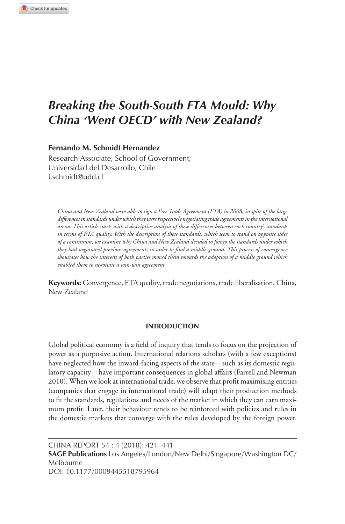# *Breaking the South-South FTA Mould: Why China 'Went OECD' with New Zealand?*

**Fernando M. Schmidt Hernandez**

Research Associate, School of Government, Universidad del Desarrollo, Chile f.schmidt@udd.cl

*China and New Zealand were able to sign a Free Trade Agreement (FTA) in 2008, in spite of the large differences in standards under which they were respectively negotiating trade agreements in the international arena. This article starts with a descriptive analysis of these differences between each country's standards in terms of FTA quality. With the description of these standards, which seem to stand on opposite sides of a continuum, we examine why China and New Zealand decided to forego the standards under which they had negotiated previous agreements in order to find a middle ground. This process of convergence showcases how the interests of both parties moved them towards the adoption of a middle ground which enabled them to negotiate a win-win agreement.* 

**Keywords:** Convergence, FTA quality, trade negotiations, trade liberalisation, China, New Zealand

## **INTRODUCTION**

Global political economy is a field of inquiry that tends to focus on the projection of power as a purposive action. International relations scholars (with a few exceptions) have neglected how the inward-facing aspects of the state—such as its domestic regulatory capacity—have important consequences in global affairs (Farrell and Newman 2010). When we look at international trade, we observe that profit maximising entities (companies that engage in international trade) will adapt their production methods to fit the standards, regulations and needs of the market in which they can earn maximum profit. Later, their behaviour tends to be reinforced with policies and rules in the domestic markets that converge with the rules developed by the foreign power.

CHINA REPORT 54 : 4 (2018): 421–441 **Sage Publications** Los Angeles/London/New Delhi/Singapore/Washington DC/ Melbourne DOI: 10.1177/0009445518795964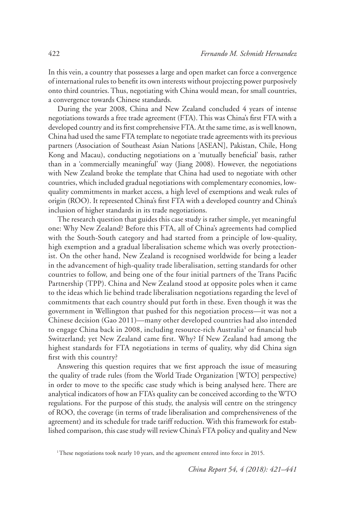In this vein, a country that possesses a large and open market can force a convergence of international rules to benefit its own interests without projecting power purposively onto third countries. Thus, negotiating with China would mean, for small countries, a convergence towards Chinese standards.

During the year 2008, China and New Zealand concluded 4 years of intense negotiations towards a free trade agreement (FTA). This was China's first FTA with a developed country and its first comprehensive FTA. At the same time, as is well known, China had used the same FTA template to negotiate trade agreements with its previous partners (Association of Southeast Asian Nations [ASEAN], Pakistan, Chile, Hong Kong and Macau), conducting negotiations on a 'mutually beneficial' basis, rather than in a 'commercially meaningful' way (Jiang 2008). However, the negotiations with New Zealand broke the template that China had used to negotiate with other countries, which included gradual negotiations with complementary economies, lowquality commitments in market access, a high level of exemptions and weak rules of origin (ROO). It represented China's first FTA with a developed country and China's inclusion of higher standards in its trade negotiations.

The research question that guides this case study is rather simple, yet meaningful one: Why New Zealand? Before this FTA, all of China's agreements had complied with the South-South category and had started from a principle of low-quality, high exemption and a gradual liberalisation scheme which was overly protectionist. On the other hand, New Zealand is recognised worldwide for being a leader in the advancement of high-quality trade liberalisation, setting standards for other countries to follow, and being one of the four initial partners of the Trans Pacific Partnership (TPP). China and New Zealand stood at opposite poles when it came to the ideas which lie behind trade liberalisation negotiations regarding the level of commitments that each country should put forth in these. Even though it was the government in Wellington that pushed for this negotiation process—it was not a Chinese decision (Gao 2011)—many other developed countries had also intended to engage China back in 2008, including resource-rich Australia<sup>1</sup> or financial hub Switzerland; yet New Zealand came first. Why? If New Zealand had among the highest standards for FTA negotiations in terms of quality, why did China sign first with this country?

Answering this question requires that we first approach the issue of measuring the quality of trade rules (from the World Trade Organization [WTO] perspective) in order to move to the specific case study which is being analysed here. There are analytical indicators of how an FTA's quality can be conceived according to the WTO regulations. For the purpose of this study, the analysis will centre on the stringency of ROO, the coverage (in terms of trade liberalisation and comprehensiveness of the agreement) and its schedule for trade tariff reduction. With this framework for established comparison, this case study will review China's FTA policy and quality and New

<sup>&</sup>lt;sup>1</sup>These negotiations took nearly 10 years, and the agreement entered into force in 2015.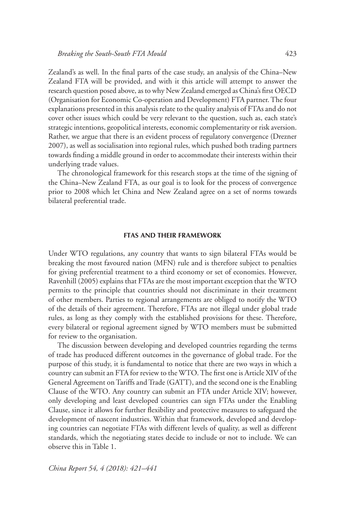Zealand's as well. In the final parts of the case study, an analysis of the China–New Zealand FTA will be provided, and with it this article will attempt to answer the research question posed above, as to why New Zealand emerged as China's first OECD (Organisation for Economic Co-operation and Development) FTA partner. The four explanations presented in this analysis relate to the quality analysis of FTAs and do not cover other issues which could be very relevant to the question, such as, each state's strategic intentions, geopolitical interests, economic complementarity or risk aversion. Rather, we argue that there is an evident process of regulatory convergence (Drezner 2007), as well as socialisation into regional rules, which pushed both trading partners towards finding a middle ground in order to accommodate their interests within their underlying trade values.

The chronological framework for this research stops at the time of the signing of the China–New Zealand FTA, as our goal is to look for the process of convergence prior to 2008 which let China and New Zealand agree on a set of norms towards bilateral preferential trade.

#### **FTAS AND THEIR FRAMEWORK**

Under WTO regulations, any country that wants to sign bilateral FTAs would be breaking the most favoured nation (MFN) rule and is therefore subject to penalties for giving preferential treatment to a third economy or set of economies. However, Ravenhill (2005) explains that FTAs are the most important exception that the WTO permits to the principle that countries should not discriminate in their treatment of other members. Parties to regional arrangements are obliged to notify the WTO of the details of their agreement. Therefore, FTAs are not illegal under global trade rules, as long as they comply with the established provisions for these. Therefore, every bilateral or regional agreement signed by WTO members must be submitted for review to the organisation.

The discussion between developing and developed countries regarding the terms of trade has produced different outcomes in the governance of global trade. For the purpose of this study, it is fundamental to notice that there are two ways in which a country can submit an FTA for review to the WTO. The first one is Article XIV of the General Agreement on Tariffs and Trade (GATT), and the second one is the Enabling Clause of the WTO. Any country can submit an FTA under Article XIV; however, only developing and least developed countries can sign FTAs under the Enabling Clause, since it allows for further flexibility and protective measures to safeguard the development of nascent industries. Within that framework, developed and developing countries can negotiate FTAs with different levels of quality, as well as different standards, which the negotiating states decide to include or not to include. We can observe this in Table 1.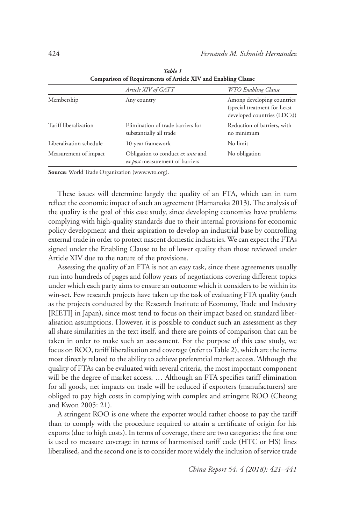| comparison or requirements of themes in a una manomic change |                                                                      |                                                                                            |  |  |
|--------------------------------------------------------------|----------------------------------------------------------------------|--------------------------------------------------------------------------------------------|--|--|
|                                                              | Article XIV of GATT                                                  | <b>WTO Enabling Clause</b>                                                                 |  |  |
| Membership                                                   | Any country                                                          | Among developing countries<br>(special treatment for Least)<br>developed countries (LDCs)) |  |  |
| Tariff liberalization                                        | Elimination of trade barriers for<br>substantially all trade         | Reduction of barriers, with<br>no minimum                                                  |  |  |
| Liberalization schedule                                      | 10-year framework                                                    | No limit                                                                                   |  |  |
| Measurement of impact                                        | Obligation to conduct ex ante and<br>ex post measurement of barriers | No obligation                                                                              |  |  |
|                                                              |                                                                      |                                                                                            |  |  |

*Table 1*  **Comparison of Requirements of Article XIV and Enabling Clause**

**Source:** World Trade Organization (www.wto.org).

These issues will determine largely the quality of an FTA, which can in turn reflect the economic impact of such an agreement (Hamanaka 2013). The analysis of the quality is the goal of this case study, since developing economies have problems complying with high-quality standards due to their internal provisions for economic policy development and their aspiration to develop an industrial base by controlling external trade in order to protect nascent domestic industries. We can expect the FTAs signed under the Enabling Clause to be of lower quality than those reviewed under Article XIV due to the nature of the provisions.

Assessing the quality of an FTA is not an easy task, since these agreements usually run into hundreds of pages and follow years of negotiations covering different topics under which each party aims to ensure an outcome which it considers to be within its win-set. Few research projects have taken up the task of evaluating FTA quality (such as the projects conducted by the Research Institute of Economy, Trade and Industry [RIETI] in Japan), since most tend to focus on their impact based on standard liberalisation assumptions. However, it is possible to conduct such an assessment as they all share similarities in the text itself, and there are points of comparison that can be taken in order to make such an assessment. For the purpose of this case study, we focus on ROO, tariff liberalisation and coverage (refer to Table 2), which are the items most directly related to the ability to achieve preferential market access. 'Although the quality of FTAs can be evaluated with several criteria, the most important component will be the degree of market access. … Although an FTA specifies tariff elimination for all goods, net impacts on trade will be reduced if exporters (manufacturers) are obliged to pay high costs in complying with complex and stringent ROO (Cheong and Kwon 2005: 21).

A stringent ROO is one where the exporter would rather choose to pay the tariff than to comply with the procedure required to attain a certificate of origin for his exports (due to high costs). In terms of coverage, there are two categories: the first one is used to measure coverage in terms of harmonised tariff code (HTC or HS) lines liberalised, and the second one is to consider more widely the inclusion of service trade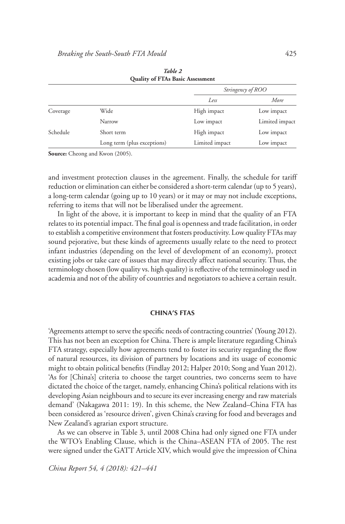|          |                             | Stringency of ROO |                |
|----------|-----------------------------|-------------------|----------------|
|          |                             | Less              | More           |
| Coverage | Wide                        | High impact       | Low impact     |
|          | Narrow                      | Low impact        | Limited impact |
| Schedule | Short term                  | High impact       | Low impact     |
|          | Long term (plus exceptions) | Limited impact    | Low impact     |

*Table 2*  **Quality of FTAs Basic Assessment**

Source: Cheong and Kwon (2005).

and investment protection clauses in the agreement. Finally, the schedule for tariff reduction or elimination can either be considered a short-term calendar (up to 5 years), a long-term calendar (going up to 10 years) or it may or may not include exceptions, referring to items that will not be liberalised under the agreement.

In light of the above, it is important to keep in mind that the quality of an FTA relates to its potential impact. The final goal is openness and trade facilitation, in order to establish a competitive environment that fosters productivity. Low quality FTAs may sound pejorative, but these kinds of agreements usually relate to the need to protect infant industries (depending on the level of development of an economy), protect existing jobs or take care of issues that may directly affect national security. Thus, the terminology chosen (low quality vs. high quality) is reflective of the terminology used in academia and not of the ability of countries and negotiators to achieve a certain result.

#### **CHINA'S FTAS**

'Agreements attempt to serve the specific needs of contracting countries' (Young 2012). This has not been an exception for China. There is ample literature regarding China's FTA strategy, especially how agreements tend to foster its security regarding the flow of natural resources, its division of partners by locations and its usage of economic might to obtain political benefits (Findlay 2012; Halper 2010; Song and Yuan 2012). 'As for [China's] criteria to choose the target countries, two concerns seem to have dictated the choice of the target, namely, enhancing China's political relations with its developing Asian neighbours and to secure its ever increasing energy and raw materials demand' (Nakagawa 2011: 19). In this scheme, the New Zealand–China FTA has been considered as 'resource driven', given China's craving for food and beverages and New Zealand's agrarian export structure.

As we can observe in Table 3, until 2008 China had only signed one FTA under the WTO's Enabling Clause, which is the China–ASEAN FTA of 2005. The rest were signed under the GATT Article XIV, which would give the impression of China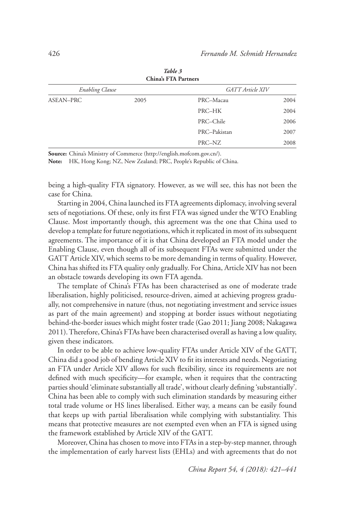| <b>Chinas FIA Partners</b> |      |                         |      |  |
|----------------------------|------|-------------------------|------|--|
| <b>Enabling Clause</b>     |      | <b>GATT</b> Article XIV |      |  |
| <b>ASEAN-PRC</b>           | 2005 | PRC-Macau               | 2004 |  |
|                            |      | PRC-HK                  | 2004 |  |
|                            |      | PRC-Chile               | 2006 |  |
|                            |      | PRC-Pakistan            | 2007 |  |
|                            |      | PRC-NZ                  | 2008 |  |

*Table 3* **China's FTA Partners**

Source: China's Ministry of Commerce (http://english.mofcom.gov.cn/).

**Note:** HK, Hong Kong; NZ, New Zealand; PRC, People's Republic of China.

being a high-quality FTA signatory. However, as we will see, this has not been the case for China.

Starting in 2004, China launched its FTA agreements diplomacy, involving several sets of negotiations. Of these, only its first FTA was signed under the WTO Enabling Clause. Most importantly though, this agreement was the one that China used to develop a template for future negotiations, which it replicated in most of its subsequent agreements. The importance of it is that China developed an FTA model under the Enabling Clause, even though all of its subsequent FTAs were submitted under the GATT Article XIV, which seems to be more demanding in terms of quality. However, China has shifted its FTA quality only gradually. For China, Article XIV has not been an obstacle towards developing its own FTA agenda.

The template of China's FTAs has been characterised as one of moderate trade liberalisation, highly politicised, resource-driven, aimed at achieving progress gradually, not comprehensive in nature (thus, not negotiating investment and service issues as part of the main agreement) and stopping at border issues without negotiating behind-the-border issues which might foster trade (Gao 2011; Jiang 2008; Nakagawa 2011). Therefore, China's FTAs have been characterised overall as having a low quality, given these indicators.

In order to be able to achieve low-quality FTAs under Article XIV of the GATT, China did a good job of bending Article XIV to fit its interests and needs. Negotiating an FTA under Article XIV allows for such flexibility, since its requirements are not defined with much specificity—for example, when it requires that the contracting parties should 'eliminate substantially all trade', without clearly defining 'substantially'. China has been able to comply with such elimination standards by measuring either total trade volume or HS lines liberalised. Either way, a means can be easily found that keeps up with partial liberalisation while complying with substantiality. This means that protective measures are not exempted even when an FTA is signed using the framework established by Article XIV of the GATT.

Moreover, China has chosen to move into FTAs in a step-by-step manner, through the implementation of early harvest lists (EHLs) and with agreements that do not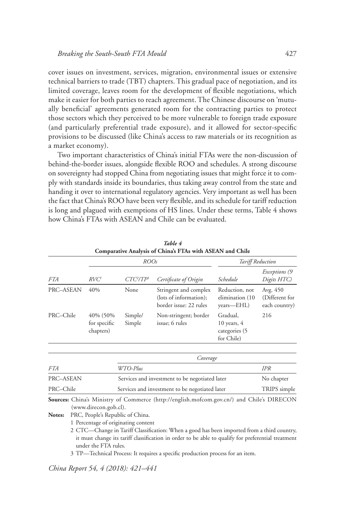cover issues on investment, services, migration, environmental issues or extensive technical barriers to trade (TBT) chapters. This gradual pace of negotiation, and its limited coverage, leaves room for the development of flexible negotiations, which make it easier for both parties to reach agreement. The Chinese discourse on 'mutually beneficial' agreements generated room for the contracting parties to protect those sectors which they perceived to be more vulnerable to foreign trade exposure (and particularly preferential trade exposure), and it allowed for sector-specific provisions to be discussed (like China's access to raw materials or its recognition as a market economy).

Two important characteristics of China's initial FTAs were the non-discussion of behind-the-border issues, alongside flexible ROO and schedules. A strong discourse on sovereignty had stopped China from negotiating issues that might force it to comply with standards inside its boundaries, thus taking away control from the state and handing it over to international regulatory agencies. Very important as well has been the fact that China's ROO have been very flexible, and its schedule for tariff reduction is long and plagued with exemptions of HS lines. Under these terms, Table 4 shows how China's FTAs with ASEAN and Chile can be evaluated.

| Comparative Analysis of China's FIAs with ASEAN and Chile |                                                |                                                |                                                                                        |                                                            |                                             |  |
|-----------------------------------------------------------|------------------------------------------------|------------------------------------------------|----------------------------------------------------------------------------------------|------------------------------------------------------------|---------------------------------------------|--|
|                                                           |                                                | <b>ROOs</b>                                    | Tariff Reduction                                                                       |                                                            |                                             |  |
| <i>FTA</i>                                                | RVC <sup>1</sup>                               | $CTC^2/TP^3$                                   | Certificate of Origin                                                                  | Schedule                                                   | <i>Exceptions</i> (9<br>Digits HTC)         |  |
| PRC-ASEAN                                                 | 40%                                            | None                                           | Stringent and complex<br>(lots of information);<br>border issue: 22 rules              | Reduction, not<br>elimination (10)<br>years-EHL)           | Avg. 450<br>(Different for<br>each country) |  |
| PRC-Chile                                                 | 40% (50%<br>for specific<br>chapters)          | Simple/<br>Simple                              | Non-stringent; border<br>issue; 6 rules                                                | Gradual,<br>$10$ years, $4$<br>categories (5<br>for Chile) | 216                                         |  |
|                                                           |                                                |                                                | Coverage                                                                               |                                                            |                                             |  |
| <i>FTA</i>                                                |                                                | WTO-Plus                                       |                                                                                        |                                                            | <b>IPR</b>                                  |  |
| PRC-ASEAN                                                 | Services and investment to be negotiated later |                                                |                                                                                        |                                                            | No chapter                                  |  |
| PRC-Chile                                                 |                                                | Services and investment to be negotiated later |                                                                                        |                                                            | TRIPS simple                                |  |
|                                                           |                                                |                                                | $\mathcal{C}$ Chines Minimum of Commons (boundledge) in from some A and Chile, DIDECOM |                                                            |                                             |  |

*Table 4* **Comparative Analysis of China's FTAs with ASEAN and Chile**

**Sources:** China's Ministry of Commerce (http://english.mofcom.gov.cn/) and Chile's DIRECON (www.direcon.gob.cl).

**Notes:** PRC, People's Republic of China.

1 Percentage of originating content

2 CTC—Change in Tariff Classification: When a good has been imported from a third country, it must change its tariff classification in order to be able to qualify for preferential treatment under the FTA rules.

3 TP—Technical Process: It requires a specific production process for an item.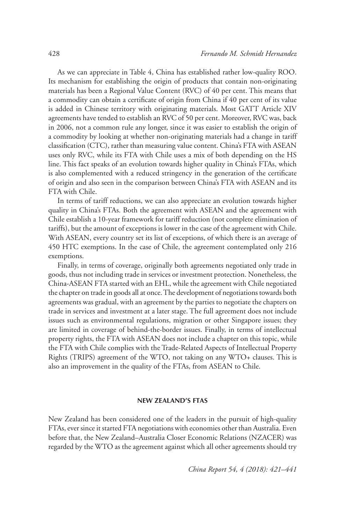As we can appreciate in Table 4, China has established rather low-quality ROO. Its mechanism for establishing the origin of products that contain non-originating materials has been a Regional Value Content (RVC) of 40 per cent. This means that a commodity can obtain a certificate of origin from China if 40 per cent of its value is added in Chinese territory with originating materials. Most GATT Article XIV agreements have tended to establish an RVC of 50 per cent. Moreover, RVC was, back in 2006, not a common rule any longer, since it was easier to establish the origin of a commodity by looking at whether non-originating materials had a change in tariff classification (CTC), rather than measuring value content. China's FTA with ASEAN uses only RVC, while its FTA with Chile uses a mix of both depending on the HS line. This fact speaks of an evolution towards higher quality in China's FTAs, which is also complemented with a reduced stringency in the generation of the certificate of origin and also seen in the comparison between China's FTA with ASEAN and its FTA with Chile.

In terms of tariff reductions, we can also appreciate an evolution towards higher quality in China's FTAs. Both the agreement with ASEAN and the agreement with Chile establish a 10-year framework for tariff reduction (not complete elimination of tariffs), but the amount of exceptions is lower in the case of the agreement with Chile. With ASEAN, every country set its list of exceptions, of which there is an average of 450 HTC exemptions. In the case of Chile, the agreement contemplated only 216 exemptions.

Finally, in terms of coverage, originally both agreements negotiated only trade in goods, thus not including trade in services or investment protection. Nonetheless, the China-ASEAN FTA started with an EHL, while the agreement with Chile negotiated the chapter on trade in goods all at once. The development of negotiations towards both agreements was gradual, with an agreement by the parties to negotiate the chapters on trade in services and investment at a later stage. The full agreement does not include issues such as environmental regulations, migration or other Singapore issues; they are limited in coverage of behind-the-border issues. Finally, in terms of intellectual property rights, the FTA with ASEAN does not include a chapter on this topic, while the FTA with Chile complies with the Trade-Related Aspects of Intellectual Property Rights (TRIPS) agreement of the WTO, not taking on any WTO+ clauses. This is also an improvement in the quality of the FTAs, from ASEAN to Chile.

## **NEW ZEALAND'S FTAS**

New Zealand has been considered one of the leaders in the pursuit of high-quality FTAs, ever since it started FTA negotiations with economies other than Australia. Even before that, the New Zealand–Australia Closer Economic Relations (NZACER) was regarded by the WTO as the agreement against which all other agreements should try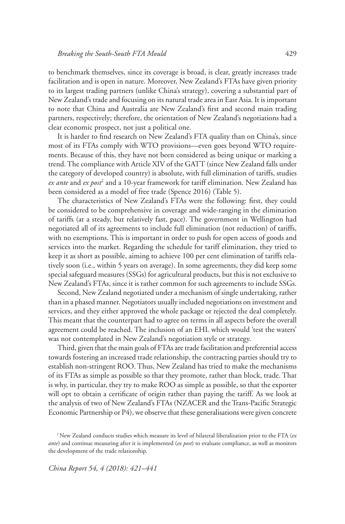to benchmark themselves, since its coverage is broad, is clear, greatly increases trade facilitation and is open in nature. Moreover, New Zealand's FTAs have given priority to its largest trading partners (unlike China's strategy), covering a substantial part of New Zealand's trade and focusing on its natural trade area in East Asia. It is important to note that China and Australia are New Zealand's first and second main trading partners, respectively; therefore, the orientation of New Zealand's negotiations had a clear economic prospect, not just a political one.

It is harder to find research on New Zealand's FTA quality than on China's, since most of its FTAs comply with WTO provisions—even goes beyond WTO requirements. Because of this, they have not been considered as being unique or marking a trend. The compliance with Article XIV of the GATT (since New Zealand falls under the category of developed country) is absolute, with full elimination of tariffs, studies ex ante and ex post<sup>2</sup> and a 10-year framework for tariff elimination. New Zealand has been considered as a model of free trade (Spence 2016) (Table 5).

The characteristics of New Zealand's FTAs were the following: first, they could be considered to be comprehensive in coverage and wide-ranging in the elimination of tariffs (at a steady, but relatively fast, pace). The government in Wellington had negotiated all of its agreements to include full elimination (not reduction) of tariffs, with no exemptions. This is important in order to push for open access of goods and services into the market. Regarding the schedule for tariff elimination, they tried to keep it as short as possible, aiming to achieve 100 per cent elimination of tariffs relatively soon (i.e., within 5 years on average). In some agreements, they did keep some special safeguard measures (SSGs) for agricultural products, but this is not exclusive to New Zealand's FTAs, since it is rather common for such agreements to include SSGs.

Second, New Zealand negotiated under a mechanism of single undertaking, rather than in a phased manner. Negotiators usually included negotiations on investment and services, and they either approved the whole package or rejected the deal completely. This meant that the counterpart had to agree on terms in all aspects before the overall agreement could be reached. The inclusion of an EHL which would 'test the waters' was not contemplated in New Zealand's negotiation style or strategy.

Third, given that the main goals of FTAs are trade facilitation and preferential access towards fostering an increased trade relationship, the contracting parties should try to establish non-stringent ROO. Thus, New Zealand has tried to make the mechanisms of its FTAs as simple as possible so that they promote, rather than block, trade. That is why, in particular, they try to make ROO as simple as possible, so that the exporter will opt to obtain a certificate of origin rather than paying the tariff. As we look at the analysis of two of New Zealand's FTAs (NZACER and the Trans-Pacific Strategic Economic Partnership or P4), we observe that these generalisations were given concrete

2 New Zealand conducts studies which measure its level of bilateral liberalization prior to the FTA (*ex ante*) and continue measuring after it is implemented (*ex post*) to evaluate compliance, as well as monitors the development of the trade relationship.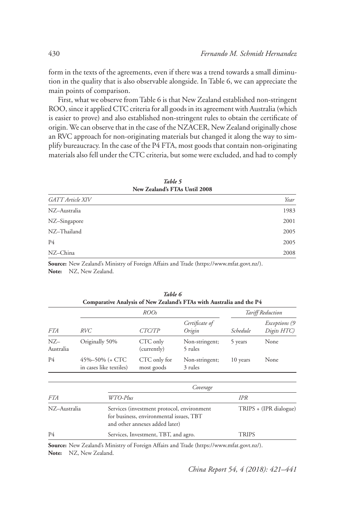form in the texts of the agreements, even if there was a trend towards a small diminution in the quality that is also observable alongside. In Table 6, we can appreciate the main points of comparison.

First, what we observe from Table 6 is that New Zealand established non-stringent ROO, since it applied CTC criteria for all goods in its agreement with Australia (which is easier to prove) and also established non-stringent rules to obtain the certificate of origin. We can observe that in the case of the NZACER, New Zealand originally chose an RVC approach for non-originating materials but changed it along the way to simplify bureaucracy. In the case of the P4 FTA, most goods that contain non-originating materials also fell under the CTC criteria, but some were excluded, and had to comply

| New Zealand's FTAs Until 2008 |      |  |
|-------------------------------|------|--|
| GATT Article XIV              | Year |  |
| NZ-Australia                  | 1983 |  |
| NZ-Singapore                  | 2001 |  |
| NZ-Thailand                   | 2005 |  |
| <b>P4</b>                     | 2005 |  |
| NZ-China                      | 2008 |  |

*Table 5*

**Source:** New Zealand's Ministry of Foreign Affairs and Trade (https://www.mfat.govt.nz/). **Note:** NZ, New Zealand.

| Comparative Analysis of New Zealand's FTAs with Australia and the P4 |                                           |                                      |                                                                                                                         |                           |                        |                                      |  |
|----------------------------------------------------------------------|-------------------------------------------|--------------------------------------|-------------------------------------------------------------------------------------------------------------------------|---------------------------|------------------------|--------------------------------------|--|
|                                                                      |                                           | <b>ROOs</b>                          |                                                                                                                         |                           |                        | Tariff Reduction                     |  |
| <i>FTA</i>                                                           | RVC                                       |                                      | <i>CTC/TP</i>                                                                                                           | Certificate of<br>Origin  | Schedule               | <i>Exceptions</i> (9)<br>Digits HTC) |  |
| $NZ-$<br>Australia                                                   | Originally 50%                            |                                      | CTC only<br>(currently)                                                                                                 | Non-stringent;<br>5 rules | 5 years                | None                                 |  |
| <b>P4</b>                                                            | 45%-50% (+ CTC<br>in cases like textiles) |                                      | CTC only for<br>most goods                                                                                              | Non-stringent;<br>3 rules | 10 years               | None                                 |  |
|                                                                      |                                           |                                      |                                                                                                                         | Coverage                  |                        |                                      |  |
| <b>FTA</b>                                                           |                                           | WTO-Plus                             |                                                                                                                         | <b>IPR</b>                |                        |                                      |  |
| NZ-Australia                                                         |                                           |                                      | Services (investment protocol, environment<br>for business, environmental issues, TBT<br>and other annexes added later) |                           | TRIPS + (IPR dialogue) |                                      |  |
| <b>P4</b>                                                            |                                           | Services, Investment, TBT, and agro. |                                                                                                                         | <b>TRIPS</b>              |                        |                                      |  |

| Table 6                                                              |
|----------------------------------------------------------------------|
| Comparative Analysis of New Zealand's FTAs with Australia and the P4 |

**Source:** New Zealand's Ministry of Foreign Affairs and Trade (https://www.mfat.govt.nz/). **Note:** NZ, New Zealand.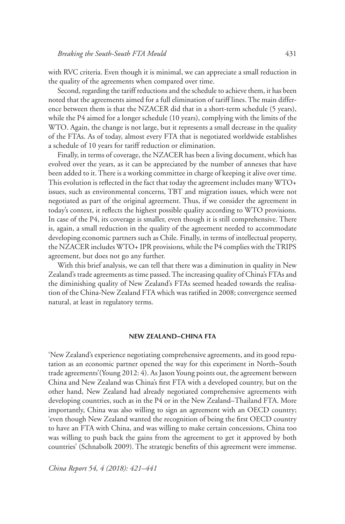with RVC criteria. Even though it is minimal, we can appreciate a small reduction in the quality of the agreements when compared over time.

Second, regarding the tariff reductions and the schedule to achieve them, it has been noted that the agreements aimed for a full elimination of tariff lines. The main difference between them is that the NZACER did that in a short-term schedule (5 years), while the P4 aimed for a longer schedule (10 years), complying with the limits of the WTO. Again, the change is not large, but it represents a small decrease in the quality of the FTAs. As of today, almost every FTA that is negotiated worldwide establishes a schedule of 10 years for tariff reduction or elimination.

Finally, in terms of coverage, the NZACER has been a living document, which has evolved over the years, as it can be appreciated by the number of annexes that have been added to it. There is a working committee in charge of keeping it alive over time. This evolution is reflected in the fact that today the agreement includes many WTO+ issues, such as environmental concerns, TBT and migration issues, which were not negotiated as part of the original agreement. Thus, if we consider the agreement in today's context, it reflects the highest possible quality according to WTO provisions. In case of the P4, its coverage is smaller, even though it is still comprehensive. There is, again, a small reduction in the quality of the agreement needed to accommodate developing economic partners such as Chile. Finally, in terms of intellectual property, the NZACER includes WTO+ IPR provisions, while the P4 complies with the TRIPS agreement, but does not go any further.

With this brief analysis, we can tell that there was a diminution in quality in New Zealand's trade agreements as time passed. The increasing quality of China's FTAs and the diminishing quality of New Zealand's FTAs seemed headed towards the realisation of the China-New Zealand FTA which was ratified in 2008; convergence seemed natural, at least in regulatory terms.

## **NEW ZEALAND–CHINA FTA**

'New Zealand's experience negotiating comprehensive agreements, and its good reputation as an economic partner opened the way for this experiment in North–South trade agreements'(Young 2012: 4). As Jason Young points out, the agreement between China and New Zealand was China's first FTA with a developed country, but on the other hand, New Zealand had already negotiated comprehensive agreements with developing countries, such as in the P4 or in the New Zealand–Thailand FTA. More importantly, China was also willing to sign an agreement with an OECD country; 'even though New Zealand wanted the recognition of being the first OECD country to have an FTA with China, and was willing to make certain concessions, China too was willing to push back the gains from the agreement to get it approved by both countries' (Schnabolk 2009). The strategic benefits of this agreement were immense.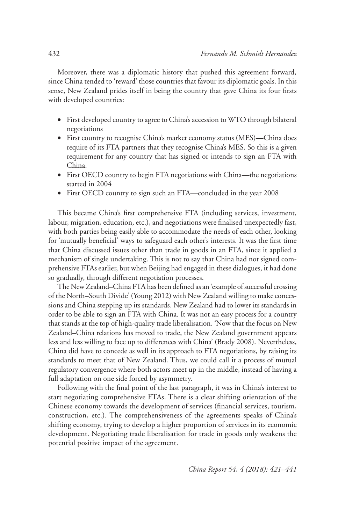Moreover, there was a diplomatic history that pushed this agreement forward, since China tended to 'reward' those countries that favour its diplomatic goals. In this sense, New Zealand prides itself in being the country that gave China its four firsts with developed countries:

- First developed country to agree to China's accession to WTO through bilateral negotiations
- First country to recognise China's market economy status (MES)—China does require of its FTA partners that they recognise China's MES. So this is a given requirement for any country that has signed or intends to sign an FTA with China.
- First OECD country to begin FTA negotiations with China—the negotiations started in 2004
- First OECD country to sign such an FTA—concluded in the year 2008

This became China's first comprehensive FTA (including services, investment, labour, migration, education, etc.), and negotiations were finalised unexpectedly fast, with both parties being easily able to accommodate the needs of each other, looking for 'mutually beneficial' ways to safeguard each other's interests. It was the first time that China discussed issues other than trade in goods in an FTA, since it applied a mechanism of single undertaking. This is not to say that China had not signed comprehensive FTAs earlier, but when Beijing had engaged in these dialogues, it had done so gradually, through different negotiation processes.

The New Zealand–China FTA has been defined as an 'example of successful crossing of the North–South Divide' (Young 2012) with New Zealand willing to make concessions and China stepping up its standards. New Zealand had to lower its standards in order to be able to sign an FTA with China. It was not an easy process for a country that stands at the top of high-quality trade liberalisation. 'Now that the focus on New Zealand–China relations has moved to trade, the New Zealand government appears less and less willing to face up to differences with China' (Brady 2008). Nevertheless, China did have to concede as well in its approach to FTA negotiations, by raising its standards to meet that of New Zealand. Thus, we could call it a process of mutual regulatory convergence where both actors meet up in the middle, instead of having a full adaptation on one side forced by asymmetry.

Following with the final point of the last paragraph, it was in China's interest to start negotiating comprehensive FTAs. There is a clear shifting orientation of the Chinese economy towards the development of services (financial services, tourism, construction, etc.). The comprehensiveness of the agreements speaks of China's shifting economy, trying to develop a higher proportion of services in its economic development. Negotiating trade liberalisation for trade in goods only weakens the potential positive impact of the agreement.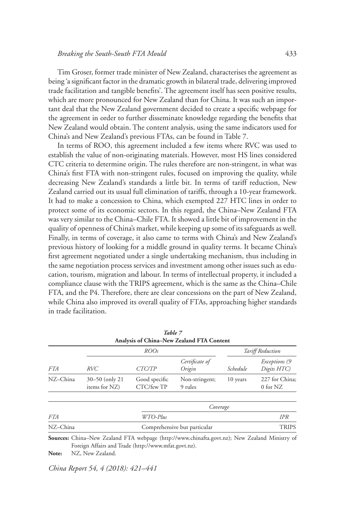Tim Groser, former trade minister of New Zealand, characterises the agreement as being 'a significant factor in the dramatic growth in bilateral trade, delivering improved trade facilitation and tangible benefits'. The agreement itself has seen positive results, which are more pronounced for New Zealand than for China. It was such an important deal that the New Zealand government decided to create a specific webpage for the agreement in order to further disseminate knowledge regarding the benefits that New Zealand would obtain. The content analysis, using the same indicators used for China's and New Zealand's previous FTAs, can be found in Table 7.

In terms of ROO, this agreement included a few items where RVC was used to establish the value of non-originating materials. However, most HS lines considered CTC criteria to determine origin. The rules therefore are non-stringent, in what was China's first FTA with non-stringent rules, focused on improving the quality, while decreasing New Zealand's standards a little bit. In terms of tariff reduction, New Zealand carried out its usual full elimination of tariffs, through a 10-year framework. It had to make a concession to China, which exempted 227 HTC lines in order to protect some of its economic sectors. In this regard, the China–New Zealand FTA was very similar to the China–Chile FTA. It showed a little bit of improvement in the quality of openness of China's market, while keeping up some of its safeguards as well. Finally, in terms of coverage, it also came to terms with China's and New Zealand's previous history of looking for a middle ground in quality terms. It became China's first agreement negotiated under a single undertaking mechanism, thus including in the same negotiation process services and investment among other issues such as education, tourism, migration and labour. In terms of intellectual property, it included a compliance clause with the TRIPS agreement, which is the same as the China–Chile FTA, and the P4. Therefore, there are clear concessions on the part of New Zealand, while China also improved its overall quality of FTAs, approaching higher standards in trade facilitation.

|            |                                  | 140U /                      | Analysis of China-New Zealand FTA Content |              |                              |
|------------|----------------------------------|-----------------------------|-------------------------------------------|--------------|------------------------------|
|            |                                  | ROOs                        | Tariff Reduction                          |              |                              |
| <i>FTA</i> | RVC                              | <b>CTC/TP</b>               | Certificate of<br>Origin                  | Schedule     | Exceptions (9<br>Digits HTC) |
| NZ-China   | 30–50 (only 21)<br>items for NZ) | Good specific<br>CTC/few TP | Non-stringent;<br>9 rules                 | 10 years     | 227 for China;<br>$0$ for NZ |
|            |                                  |                             | Coverage                                  |              |                              |
| <i>FTA</i> |                                  | WTO-Plus                    |                                           |              | <b>IPR</b>                   |
| NZ-China   | Comprehensive but particular     |                             |                                           | <b>TRIPS</b> |                              |
| ---        |                                  |                             |                                           |              |                              |

*Table 7*

**Sources:** China–New Zealand FTA webpage (http://www.chinafta.govt.nz); New Zealand Ministry of Foreign Affairs and Trade (http://www.mfat.govt.nz).

**Note:** NZ, New Zealand.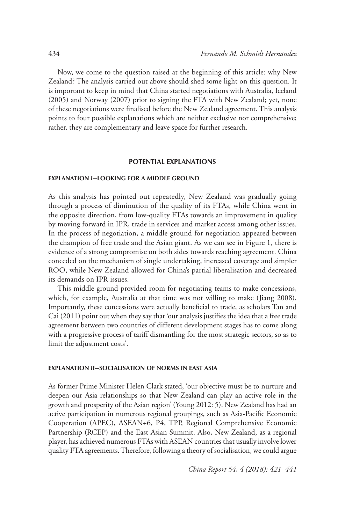Now, we come to the question raised at the beginning of this article: why New Zealand? The analysis carried out above should shed some light on this question. It is important to keep in mind that China started negotiations with Australia, Iceland (2005) and Norway (2007) prior to signing the FTA with New Zealand; yet, none of these negotiations were finalised before the New Zealand agreement. This analysis points to four possible explanations which are neither exclusive nor comprehensive; rather, they are complementary and leave space for further research.

## **POTENTIAL EXPLANATIONS**

## **EXPLANATION I—LOOKING FOR A MIDDLE GROUND**

As this analysis has pointed out repeatedly, New Zealand was gradually going through a process of diminution of the quality of its FTAs, while China went in the opposite direction, from low-quality FTAs towards an improvement in quality by moving forward in IPR, trade in services and market access among other issues. In the process of negotiation, a middle ground for negotiation appeared between the champion of free trade and the Asian giant. As we can see in Figure 1, there is evidence of a strong compromise on both sides towards reaching agreement. China conceded on the mechanism of single undertaking, increased coverage and simpler ROO, while New Zealand allowed for China's partial liberalisation and decreased its demands on IPR issues.

This middle ground provided room for negotiating teams to make concessions, which, for example, Australia at that time was not willing to make (Jiang 2008). Importantly, these concessions were actually beneficial to trade, as scholars Tan and Cai (2011) point out when they say that 'our analysis justifies the idea that a free trade agreement between two countries of different development stages has to come along with a progressive process of tariff dismantling for the most strategic sectors, so as to limit the adjustment costs'.

#### **EXPLANATION II—SOCIALISATION OF NORMS IN EAST ASIA**

As former Prime Minister Helen Clark stated, 'our objective must be to nurture and deepen our Asia relationships so that New Zealand can play an active role in the growth and prosperity of the Asian region' (Young 2012: 5). New Zealand has had an active participation in numerous regional groupings, such as Asia-Pacific Economic Cooperation (APEC), ASEAN+6, P4, TPP, Regional Comprehensive Economic Partnership (RCEP) and the East Asian Summit. Also, New Zealand, as a regional player, has achieved numerous FTAs with ASEAN countries that usually involve lower quality FTA agreements. Therefore, following a theory of socialisation, we could argue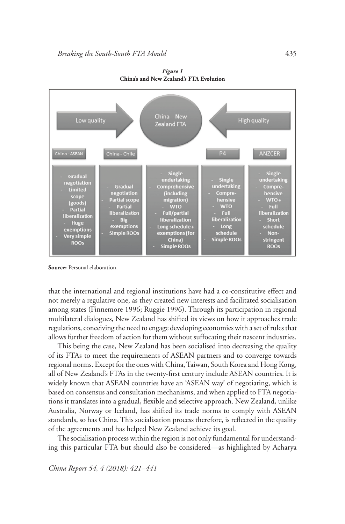

*Figure 1* **China's and New Zealand's FTA Evolution**

**Source:** Personal elaboration.

that the international and regional institutions have had a co-constitutive effect and not merely a regulative one, as they created new interests and facilitated socialisation among states (Finnemore 1996; Ruggie 1996). Through its participation in regional multilateral dialogues, New Zealand has shifted its views on how it approaches trade regulations, conceiving the need to engage developing economies with a set of rules that allows further freedom of action for them without suffocating their nascent industries.

This being the case, New Zealand has been socialised into decreasing the quality of its FTAs to meet the requirements of ASEAN partners and to converge towards regional norms. Except for the ones with China, Taiwan, South Korea and Hong Kong, all of New Zealand's FTAs in the twenty-first century include ASEAN countries. It is widely known that ASEAN countries have an 'ASEAN way' of negotiating, which is based on consensus and consultation mechanisms, and when applied to FTA negotiations it translates into a gradual, flexible and selective approach. New Zealand, unlike Australia, Norway or Iceland, has shifted its trade norms to comply with ASEAN standards, so has China. This socialisation process therefore, is reflected in the quality of the agreements and has helped New Zealand achieve its goal.

The socialisation process within the region is not only fundamental for understanding this particular FTA but should also be considered—as highlighted by Acharya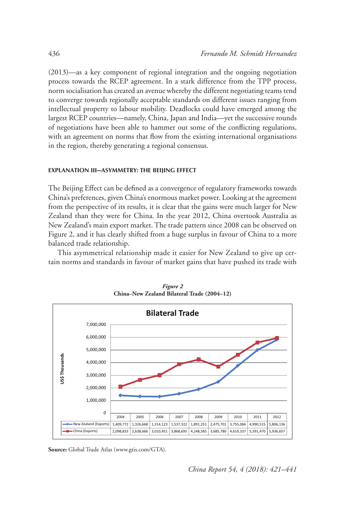(2013)—as a key component of regional integration and the ongoing negotiation process towards the RCEP agreement. In a stark difference from the TPP process, norm socialisation has created an avenue whereby the different negotiating teams tend to converge towards regionally acceptable standards on different issues ranging from intellectual property to labour mobility. Deadlocks could have emerged among the largest RCEP countries—namely, China, Japan and India—yet the successive rounds of negotiations have been able to hammer out some of the conflicting regulations, with an agreement on norms that flow from the existing international organisations in the region, thereby generating a regional consensus.

## **EXPLANATION III—ASYMMETRY: THE BEIJING EFFECT**

The Beijing Effect can be defined as a convergence of regulatory frameworks towards China's preferences, given China's enormous market power. Looking at the agreement from the perspective of its results, it is clear that the gains were much larger for New Zealand than they were for China. In the year 2012, China overtook Australia as New Zealand's main export market. The trade pattern since 2008 can be observed on Figure 2, and it has clearly shifted from a huge surplus in favour of China to a more balanced trade relationship.

This asymmetrical relationship made it easier for New Zealand to give up certain norms and standards in favour of market gains that have pushed its trade with



*Figure 2* **China–New Zealand Bilateral Trade (2004–12)**

**Source:** Global Trade Atlas (www.gtis.com/GTA).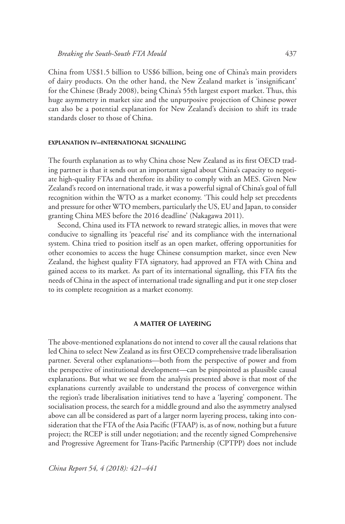China from US\$1.5 billion to US\$6 billion, being one of China's main providers of dairy products. On the other hand, the New Zealand market is 'insignificant' for the Chinese (Brady 2008), being China's 55th largest export market. Thus, this huge asymmetry in market size and the unpurposive projection of Chinese power can also be a potential explanation for New Zealand's decision to shift its trade standards closer to those of China.

## **EXPLANATION IV—INTERNATIONAL SIGNALLING**

The fourth explanation as to why China chose New Zealand as its first OECD trading partner is that it sends out an important signal about China's capacity to negotiate high-quality FTAs and therefore its ability to comply with an MES. Given New Zealand's record on international trade, it was a powerful signal of China's goal of full recognition within the WTO as a market economy. 'This could help set precedents and pressure for other WTO members, particularly the US, EU and Japan, to consider granting China MES before the 2016 deadline' (Nakagawa 2011).

Second, China used its FTA network to reward strategic allies, in moves that were conducive to signalling its 'peaceful rise' and its compliance with the international system. China tried to position itself as an open market, offering opportunities for other economies to access the huge Chinese consumption market, since even New Zealand, the highest quality FTA signatory, had approved an FTA with China and gained access to its market. As part of its international signalling, this FTA fits the needs of China in the aspect of international trade signalling and put it one step closer to its complete recognition as a market economy.

## **A MATTER OF LAYERING**

The above-mentioned explanations do not intend to cover all the causal relations that led China to select New Zealand as its first OECD comprehensive trade liberalisation partner. Several other explanations—both from the perspective of power and from the perspective of institutional development—can be pinpointed as plausible causal explanations. But what we see from the analysis presented above is that most of the explanations currently available to understand the process of convergence within the region's trade liberalisation initiatives tend to have a 'layering' component. The socialisation process, the search for a middle ground and also the asymmetry analysed above can all be considered as part of a larger norm layering process, taking into consideration that the FTA of the Asia Pacific (FTAAP) is, as of now, nothing but a future project; the RCEP is still under negotiation; and the recently signed Comprehensive and Progressive Agreement for Trans-Pacific Partnership (CPTPP) does not include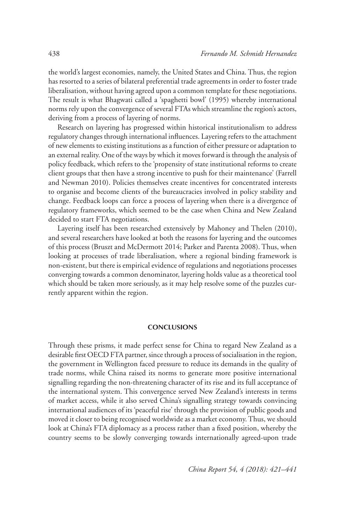the world's largest economies, namely, the United States and China. Thus, the region has resorted to a series of bilateral preferential trade agreements in order to foster trade liberalisation, without having agreed upon a common template for these negotiations. The result is what Bhagwati called a 'spaghetti bowl' (1995) whereby international norms rely upon the convergence of several FTAs which streamline the region's actors, deriving from a process of layering of norms.

Research on layering has progressed within historical institutionalism to address regulatory changes through international influences. Layering refers to the attachment of new elements to existing institutions as a function of either pressure or adaptation to an external reality. One of the ways by which it moves forward is through the analysis of policy feedback, which refers to the 'propensity of state institutional reforms to create client groups that then have a strong incentive to push for their maintenance' (Farrell and Newman 2010). Policies themselves create incentives for concentrated interests to organise and become clients of the bureaucracies involved in policy stability and change. Feedback loops can force a process of layering when there is a divergence of regulatory frameworks, which seemed to be the case when China and New Zealand decided to start FTA negotiations.

Layering itself has been researched extensively by Mahoney and Thelen (2010), and several researchers have looked at both the reasons for layering and the outcomes of this process (Bruszt and McDermott 2014; Parker and Parenta 2008). Thus, when looking at processes of trade liberalisation, where a regional binding framework is non-existent, but there is empirical evidence of regulations and negotiations processes converging towards a common denominator, layering holds value as a theoretical tool which should be taken more seriously, as it may help resolve some of the puzzles currently apparent within the region.

# **CONCLUSIONS**

Through these prisms, it made perfect sense for China to regard New Zealand as a desirable first OECD FTA partner, since through a process of socialisation in the region, the government in Wellington faced pressure to reduce its demands in the quality of trade norms, while China raised its norms to generate more positive international signalling regarding the non-threatening character of its rise and its full acceptance of the international system. This convergence served New Zealand's interests in terms of market access, while it also served China's signalling strategy towards convincing international audiences of its 'peaceful rise' through the provision of public goods and moved it closer to being recognised worldwide as a market economy. Thus, we should look at China's FTA diplomacy as a process rather than a fixed position, whereby the country seems to be slowly converging towards internationally agreed-upon trade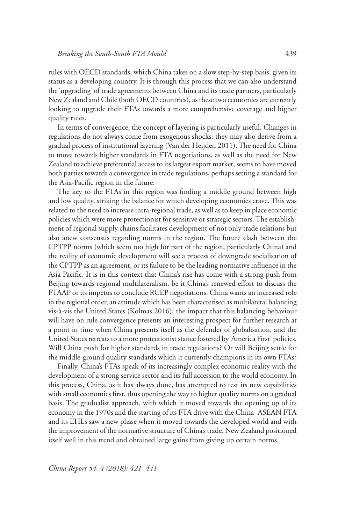rules with OECD standards, which China takes on a slow step-by-step basis, given its status as a developing country. It is through this process that we can also understand the 'upgrading' of trade agreements between China and its trade partners, particularly New Zealand and Chile (both OECD countries), as these two economies are currently looking to upgrade their FTAs towards a more comprehensive coverage and higher quality rules.

In terms of convergence, the concept of layering is particularly useful. Changes in regulations do not always come from exogenous shocks; they may also derive from a gradual process of institutional layering (Van der Heijden 2011). The need for China to move towards higher standards in FTA negotiations, as well as the need for New Zealand to achieve preferential access to its largest export market, seems to have moved both parties towards a convergence in trade regulations, perhaps setting a standard for the Asia-Pacific region in the future.

The key to the FTAs in this region was finding a middle ground between high and low quality, striking the balance for which developing economies crave. This was related to the need to increase intra-regional trade, as well as to keep in place economic policies which were more protectionist for sensitive or strategic sectors. The establishment of regional supply chains facilitates development of not only trade relations but also anew consensus regarding norms in the region. The future clash between the CPTPP norms (which seem too high for part of the region, particularly China) and the reality of economic development will see a process of downgrade socialisation of the CPTPP as an agreement, or its failure to be the leading normative influence in the Asia Pacific. It is in this context that China's rise has come with a strong push from Beijing towards regional multilateralism, be it China's renewed effort to discuss the FTAAP or its impetus to conclude RCEP negotiations. China wants an increased role in the regional order, an attitude which has been characterised as multilateral balancing vis-à-vis the United States (Kolmas 2016); the impact that this balancing behaviour will have on rule convergence presents an interesting prospect for further research at a point in time when China presents itself as the defender of globalisation, and the United States retreats to a more protectionist stance fostered by 'America First' policies. Will China push for higher standards in trade regulations? Or will Beijing settle for the middle-ground quality standards which it currently champions in its own FTAs?

Finally, China's FTAs speak of its increasingly complex economic reality with the development of a strong service sector and its full accession to the world economy. In this process, China, as it has always done, has attempted to test its new capabilities with small economies first, thus opening the way to higher quality norms on a gradual basis. The gradualist approach, with which it moved towards the opening up of its economy in the 1970s and the starting of its FTA drive with the China–ASEAN FTA and its EHLs saw a new phase when it moved towards the developed world and with the improvement of the normative structure of China's trade. New Zealand positioned itself well in this trend and obtained large gains from giving up certain norms.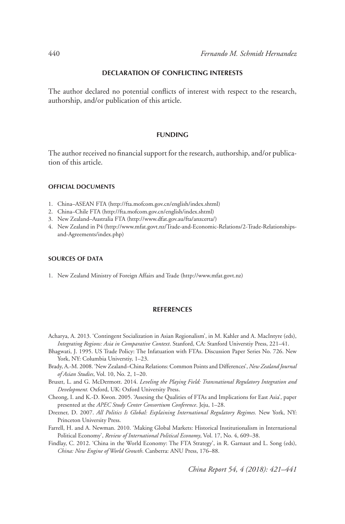# **DECLARATION OF CONFLICTING INTERESTS**

The author declared no potential conflicts of interest with respect to the research, authorship, and/or publication of this article.

# **FUNDING**

The author received no financial support for the research, authorship, and/or publication of this article.

#### **Official Documents**

- 1. China–ASEAN FTA (http://fta.mofcom.gov.cn/english/index.shtml)
- 2. China–Chile FTA (http://fta.mofcom.gov.cn/english/index.shtml)
- 3. New Zealand–Australia FTA (http://www.dfat.gov.au/fta/anzcerta/)
- 4. New Zealand in P4 (http://www.mfat.govt.nz/Trade-and-Economic-Relations/2-Trade-Relationshipsand-Agreements/index.php)

#### **Sources of Data**

1. New Zealand Ministry of Foreign Affairs and Trade (http://www.mfat.govt.nz)

## **REFERENCES**

- Acharya, A. 2013. 'Contingent Socialization in Asian Regionalism', in M. Kahler and A. MacIntyre (eds), *Integrating Regions: Asia in Comparative Context*. Stanford, CA: Stanford Universtiy Press, 221–41.
- Bhagwati, J. 1995. US Trade Policy: The Infatuation with FTAs. Discussion Paper Series No. 726. New York, NY: Columbia Universtiy, 1–23.
- Brady, A.-M. 2008. 'New Zealand–China Relations: Common Points and Differences', *New Zealand Journal of Asian Studies*, Vol. 10, No. 2, 1–20.
- Bruszt, L. and G. McDermott. 2014. *Leveling the Playing Field: Transnational Regulatory Integration and Development.* Oxford, UK: Oxford University Press.
- Cheong, I. and K.-D. Kwon. 2005. 'Assesing the Qualities of FTAs and Implications for East Asia', paper presented at the *APEC Study Center Consortium Conference*. Jeju, 1–28.
- Drezner, D. 2007. *All Politics Is Global: Explaining International Regulatory Regimes.* New York, NY: Princeton University Press.
- Farrell, H. and A. Newman. 2010. 'Making Global Markets: Historical Institutionalism in International Political Economy', *Review of International Political Economy*, Vol. 17, No. 4, 609–38.
- Findlay, C. 2012. 'China in the World Economy: The FTA Strategy', in R. Garnaut and L. Song (eds), *China: New Engine of World Growth*. Canberra: ANU Press, 176–88.